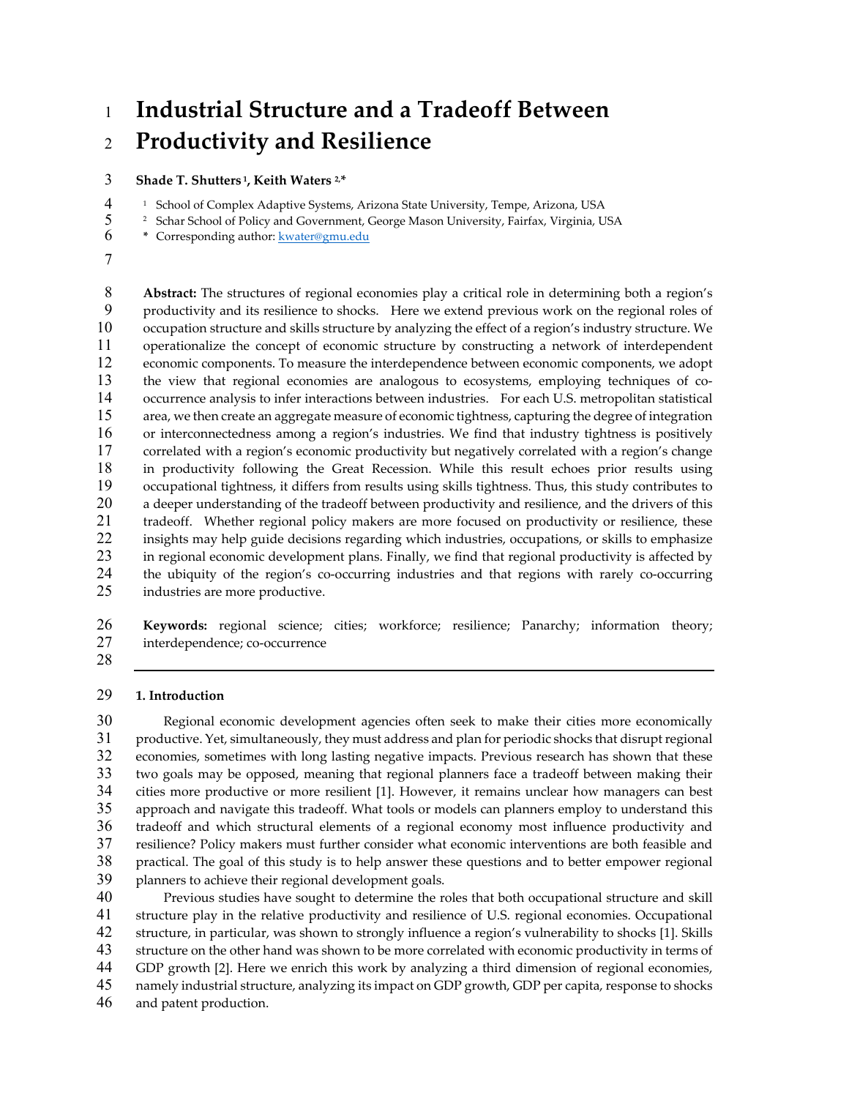## **Industrial Structure and a Tradeoff Between Productivity and Resilience**

**Shade T. Shutters 1, Keith Waters 2, \***

<sup>1</sup> School of Complex Adaptive Systems, Arizona State University, Tempe, Arizona, USA<br>
<sup>2</sup> Schar School of Policy and Government, George Mason University, Fairfax, Virginia, U

<sup>2</sup> Schar School of Policy and Government, George Mason University, Fairfax, Virginia, USA<br>
<sup>2</sup> Corresponding author: <u>kwater@gmu.edu</u>

\* Corresponding author: **kwater@gmu.edu** 

**Abstract:** The structures of regional economies play a critical role in determining both a region's productivity and its resilience to shocks. Here we extend previous work on the regional roles of occupation structure and skills structure by analyzing the effect of a region's industry structure. We operationalize the concept of economic structure by constructing a network of interdependent economic components. To measure the interdependence between economic components, we adopt the view that regional economies are analogous to ecosystems, employing techniques of co‐ occurrence analysis to infer interactions between industries. For each U.S. metropolitan statistical area, we then create an aggregate measure of economic tightness, capturing the degree of integration or interconnectedness among a region's industries. We find that industry tightness is positively correlated with a region's economic productivity but negatively correlated with a region's change in productivity following the Great Recession. While this result echoes prior results using occupational tightness, it differs from results using skills tightness. Thus, this study contributes to a deeper understanding of the tradeoff between productivity and resilience, and the drivers of this 21 tradeoff. Whether regional policy makers are more focused on productivity or resilience, these insights may help guide decisions regarding which industries, occupations, or skills to emphasize 23 in regional economic development plans. Finally, we find that regional productivity is affected by 24 the ubiquity of the region's co-occurring industries and that regions with rarely co-occurring industries are more productive.

**Keywords:** regional science; cities; workforce; resilience; Panarchy; information theory; 27 interdependence; co-occurrence

#### **1. Introduction**

Regional economic development agencies often seek to make their cities more economically 31 productive. Yet, simultaneously, they must address and plan for periodic shocks that disrupt regional economies, sometimes with long lasting negative impacts. Previous research has shown that these two goals may be opposed, meaning that regional planners face a tradeoff between making their cities more productive or more resilient [1]. However, it remains unclear how managers can best approach and navigate this tradeoff. What tools or models can planners employ to understand this tradeoff and which structural elements of a regional economy most influence productivity and resilience? Policy makers must further consider what economic interventions are both feasible and practical. The goal of this study is to help answer these questions and to better empower regional planners to achieve their regional development goals.

Previous studies have sought to determine the roles that both occupational structure and skill structure play in the relative productivity and resilience of U.S. regional economies. Occupational structure, in particular, was shown to strongly influence a region's vulnerability to shocks [1]. Skills structure on the other hand was shown to be more correlated with economic productivity in terms of GDP growth [2]. Here we enrich this work by analyzing a third dimension of regional economies, namely industrial structure, analyzing its impact on GDP growth, GDP per capita, response to shocks and patent production.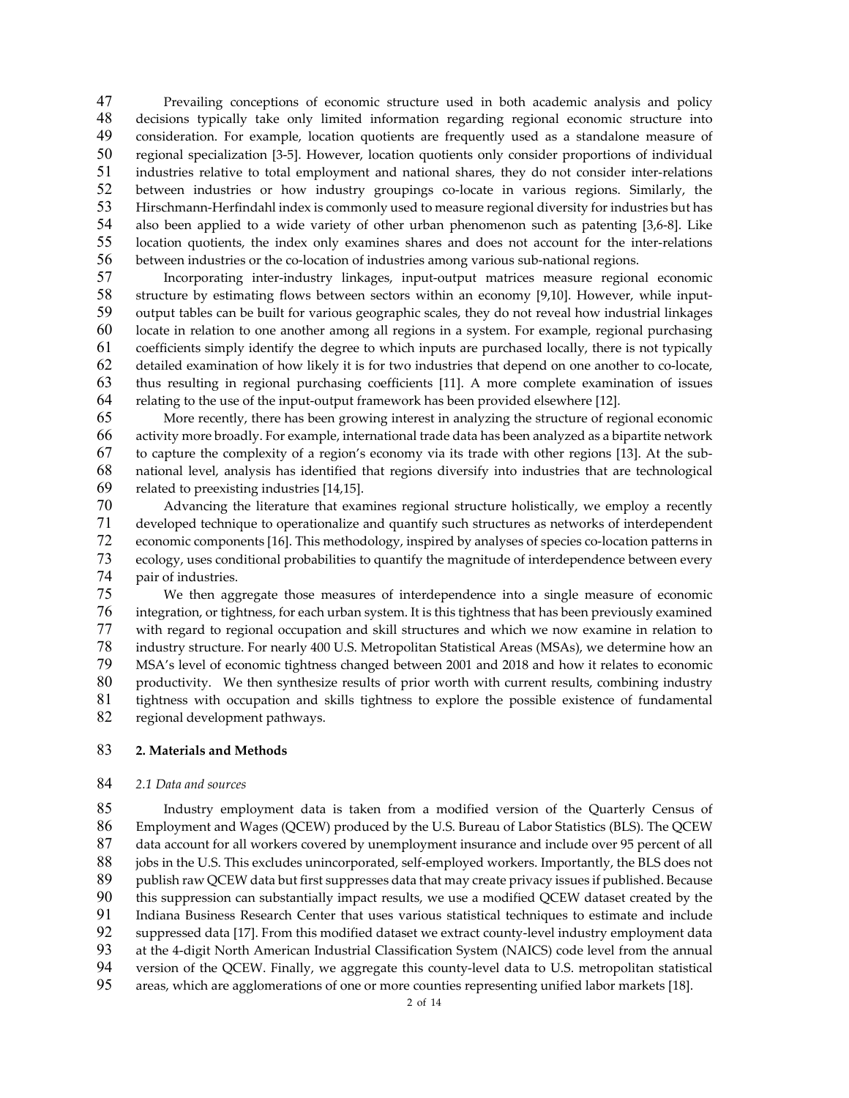Prevailing conceptions of economic structure used in both academic analysis and policy decisions typically take only limited information regarding regional economic structure into consideration. For example, location quotients are frequently used as a standalone measure of 50 regional specialization [3-5]. However, location quotients only consider proportions of individual 51 industries relative to total employment and national shares, they do not consider inter-relations 52 between industries or how industry groupings co-locate in various regions. Similarly, the 53 Hirschmann-Herfindahl index is commonly used to measure regional diversity for industries but has 54 also been applied to a wide variety of other urban phenomenon such as patenting [3,6-8]. Like 55 location quotients, the index only examines shares and does not account for the inter-relations 56 between industries or the co-location of industries among various sub-national regions.

57 Incorporating inter-industry linkages, input-output matrices measure regional economic 58 structure by estimating flows between sectors within an economy [9,10]. However, while input-output tables can be built for various geographic scales, they do not reveal how industrial linkages locate in relation to one another among all regions in a system. For example, regional purchasing coefficients simply identify the degree to which inputs are purchased locally, there is not typically detailed examination of how likely it is for two industries that depend on one another to co‐locate, thus resulting in regional purchasing coefficients [11]. A more complete examination of issues relating to the use of the input‐output framework has been provided elsewhere [12].

More recently, there has been growing interest in analyzing the structure of regional economic activity more broadly. For example, international trade data has been analyzed as a bipartite network to capture the complexity of a region's economy via its trade with other regions [13]. At the sub‐ national level, analysis has identified that regions diversify into industries that are technological related to preexisting industries [14,15].

Advancing the literature that examines regional structure holistically, we employ a recently developed technique to operationalize and quantify such structures as networks of interdependent 72 economic components [16]. This methodology, inspired by analyses of species co-location patterns in ecology, uses conditional probabilities to quantify the magnitude of interdependence between every pair of industries.

We then aggregate those measures of interdependence into a single measure of economic integration, or tightness, for each urban system. It is this tightness that has been previously examined with regard to regional occupation and skill structures and which we now examine in relation to industry structure. For nearly 400 U.S. Metropolitan Statistical Areas (MSAs), we determine how an MSA's level of economic tightness changed between 2001 and 2018 and how it relates to economic 80 productivity. We then synthesize results of prior worth with current results, combining industry tightness with occupation and skills tightness to explore the possible existence of fundamental regional development pathways.

#### **2. Materials and Methods**

### *2.1 Data and sources*

Industry employment data is taken from a modified version of the Quarterly Census of Employment and Wages (QCEW) produced by the U.S. Bureau of Labor Statistics (BLS). The QCEW data account for all workers covered by unemployment insurance and include over 95 percent of all 88 jobs in the U.S. This excludes unincorporated, self-employed workers. Importantly, the BLS does not publish raw QCEW data but first suppresses data that may create privacy issues if published. Because this suppression can substantially impact results, we use a modified QCEW dataset created by the Indiana Business Research Center that uses various statistical techniques to estimate and include 92 suppressed data [17]. From this modified dataset we extract county-level industry employment data 93 at the 4-digit North American Industrial Classification System (NAICS) code level from the annual 94 version of the QCEW. Finally, we aggregate this county-level data to U.S. metropolitan statistical areas, which are agglomerations of one or more counties representing unified labor markets [18].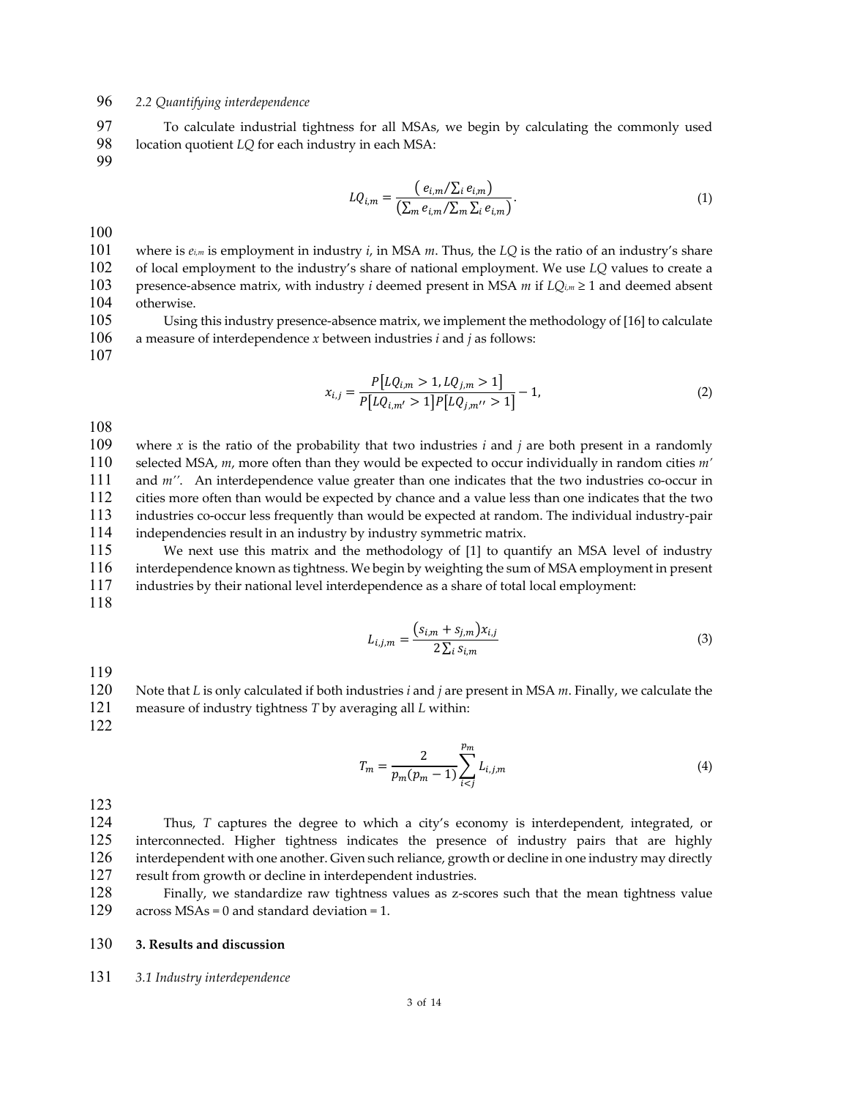## *2.2 Quantifying interdependence*

To calculate industrial tightness for all MSAs, we begin by calculating the commonly used location quotient *LQ* for each industry in each MSA:

$$
LQ_{i,m} = \frac{(e_{i,m}/\Sigma_i e_{i,m})}{(\Sigma_m e_{i,m}/\Sigma_m \Sigma_i e_{i,m})}.
$$
\n(1)

where is *ei,m* is employment in industry *i*, in MSA *m*. Thus, the *LQ* is the ratio of an industry's share of local employment to the industry's share of national employment. We use *LQ* values to create a presence‐absence matrix, with industry *i* deemed present in MSA *m* if *LQi,m* ≥ 1 and deemed absent otherwise.

105 Using this industry presence-absence matrix, we implement the methodology of [16] to calculate a measure of interdependence *x* between industries *i* and *j* as follows:

$$
x_{i,j} = \frac{P[LQ_{i,m} > 1, LQ_{j,m} > 1]}{P[LQ_{i,m'} > 1]P[LQ_{j,m'} > 1]} - 1,
$$
\n(2)

where *x* is the ratio of the probability that two industries *i* and *j* are both present in a randomly selected MSA, *m*, more often than they would be expected to occur individually in random cities *m'* 111 and *m''*. An interdependence value greater than one indicates that the two industries co-occur in cities more often than would be expected by chance and a value less than one indicates that the two industries co‐occur less frequently than would be expected at random. The individual industry‐pair independencies result in an industry by industry symmetric matrix.

We next use this matrix and the methodology of [1] to quantify an MSA level of industry interdependence known as tightness. We begin by weighting the sum of MSA employment in present industries by their national level interdependence as a share of total local employment:

$$
L_{i,j,m} = \frac{(s_{i,m} + s_{j,m})x_{i,j}}{2\sum_{i} s_{i,m}}
$$
(3)

Note that *L* is only calculated if both industries *i* and *j* are present in MSA *m*. Finally, we calculate the measure of industry tightness *T* by averaging all *L* within:

$$
T_m = \frac{2}{p_m(p_m - 1)} \sum_{i < j}^{p_m} L_{i,j,m} \tag{4}
$$

Thus, *T* captures the degree to which a city's economy is interdependent, integrated, or interconnected. Higher tightness indicates the presence of industry pairs that are highly interdependent with one another. Given such reliance, growth or decline in one industry may directly result from growth or decline in interdependent industries.

128 Finally, we standardize raw tightness values as z-scores such that the mean tightness value across MSAs = 0 and standard deviation = 1. across  $MSAs = 0$  and standard deviation = 1.

### **3. Results and discussion**

*3.1 Industry interdependence*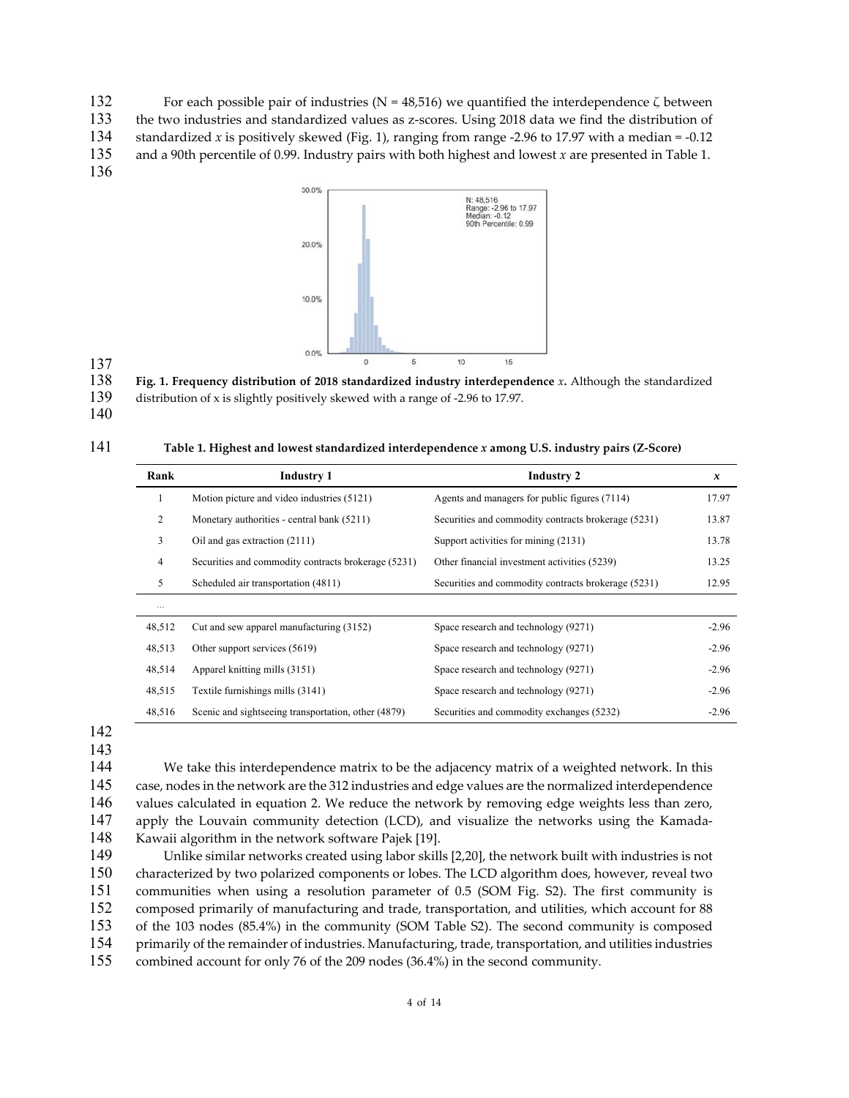132 For each possible pair of industries (N = 48,516) we quantified the interdependence ζ between

133 the two industries and standardized values as z-scores. Using 2018 data we find the distribution of

134 standardized *x* is positively skewed (Fig. 1), ranging from range -2.96 to 17.97 with a median = -0.12

135 and a 90th percentile of 0.99. Industry pairs with both highest and lowest *x* are presented in Table 1.

136



# 137<br>138

138 **Fig. 1. Frequency distribution of 2018 standardized industry interdependence** *x***.** Although the standardized

139 distribution of x is slightly positively skewed with a range of -2.96 to 17.97.

<sup>140</sup> 

| 141 | Table 1. Highest and lowest standardized interdependence x among U.S. industry pairs (Z-Score) |
|-----|------------------------------------------------------------------------------------------------|
|     |                                                                                                |

| Rank           | <b>Industry 1</b>                                   | <b>Industry 2</b>                                   | x       |
|----------------|-----------------------------------------------------|-----------------------------------------------------|---------|
| 1              | Motion picture and video industries (5121)          | Agents and managers for public figures (7114)       | 17.97   |
| 2              | Monetary authorities - central bank (5211)          | Securities and commodity contracts brokerage (5231) | 13.87   |
| 3              | Oil and gas extraction (2111)                       | Support activities for mining (2131)                | 13.78   |
| $\overline{4}$ | Securities and commodity contracts brokerage (5231) | Other financial investment activities (5239)        | 13.25   |
| 5              | Scheduled air transportation (4811)                 | Securities and commodity contracts brokerage (5231) | 12.95   |
| $\cdots$       |                                                     |                                                     |         |
| 48,512         | Cut and sew apparel manufacturing (3152)            | Space research and technology (9271)                | $-2.96$ |
| 48,513         | Other support services (5619)                       | Space research and technology (9271)                | $-2.96$ |
| 48,514         | Apparel knitting mills (3151)                       | Space research and technology (9271)                | $-2.96$ |
| 48,515         | Textile furnishings mills (3141)                    | Space research and technology (9271)                | $-2.96$ |
| 48,516         | Scenic and sightseeing transportation, other (4879) | Securities and commodity exchanges (5232)           | $-2.96$ |

142

143

We take this interdependence matrix to be the adjacency matrix of a weighted network. In this case, nodes in the network are the 312 industries and edge values are the normalized interdependence values calculated in equation 2. We reduce the network by removing edge weights less than zero, 147 apply the Louvain community detection (LCD), and visualize the networks using the Kamada-Kawaii algorithm in the network software Pajek [19].

Unlike similar networks created using labor skills [2,20], the network built with industries is not characterized by two polarized components or lobes. The LCD algorithm does, however, reveal two communities when using a resolution parameter of 0.5 (SOM Fig. S2). The first community is composed primarily of manufacturing and trade, transportation, and utilities, which account for 88 of the 103 nodes (85.4%) in the community (SOM Table S2). The second community is composed primarily of the remainder of industries. Manufacturing, trade, transportation, and utilities industries combined account for only 76 of the 209 nodes (36.4%) in the second community.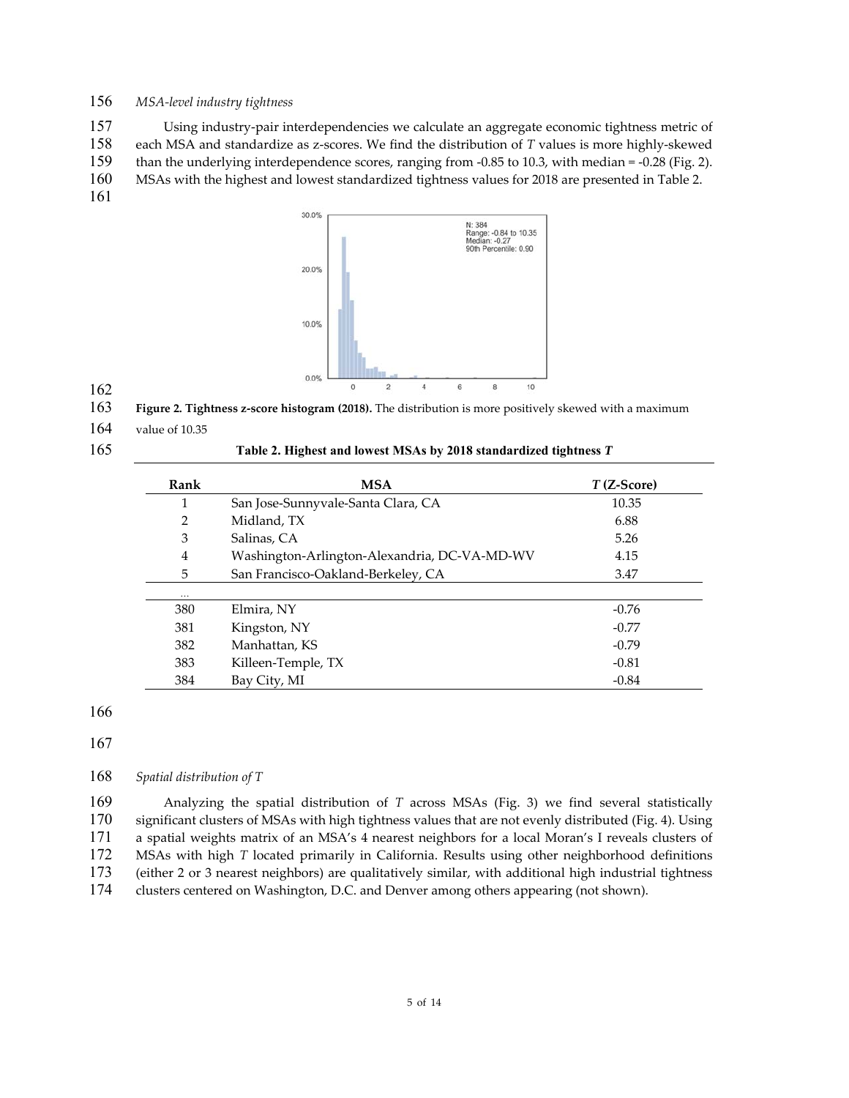## *MSA‐level industry tightness*

Using industry‐pair interdependencies we calculate an aggregate economic tightness metric of each MSA and standardize as z‐scores. We find the distribution of *T* values is more highly‐skewed 159 than the underlying interdependence scores, ranging from -0.85 to 10.3, with median = -0.28 (Fig. 2). MSAs with the highest and lowest standardized tightness values for 2018 are presented in Table 2. 



**Figure 2. Tightness z‐score histogram (2018).** The distribution is more positively skewed with a maximum

value of 10.35

## **Table 2. Highest and lowest MSAs by 2018 standardized tightness** *T*

| Rank           | MSA                                          | $T$ (Z-Score) |
|----------------|----------------------------------------------|---------------|
|                | San Jose-Sunnyvale-Santa Clara, CA           | 10.35         |
| $\overline{2}$ | Midland, TX                                  | 6.88          |
| 3              | Salinas, CA                                  | 5.26          |
| 4              | Washington-Arlington-Alexandria, DC-VA-MD-WV | 4.15          |
| 5              | San Francisco-Oakland-Berkeley, CA           | 3.47          |
| $\cdots$       |                                              |               |
| 380            | Elmira, NY                                   | $-0.76$       |
| 381            | Kingston, NY                                 | $-0.77$       |
| 382            | Manhattan, KS                                | $-0.79$       |
| 383            | Killeen-Temple, TX                           | $-0.81$       |
| 384            | Bay City, MI                                 | $-0.84$       |

*Spatial distribution of T*

Analyzing the spatial distribution of *T* across MSAs (Fig. 3) we find several statistically significant clusters of MSAs with high tightness values that are not evenly distributed (Fig. 4). Using a spatial weights matrix of an MSA's 4 nearest neighbors for a local Moran's I reveals clusters of MSAs with high *T* located primarily in California. Results using other neighborhood definitions (either 2 or 3 nearest neighbors) are qualitatively similar, with additional high industrial tightness clusters centered on Washington, D.C. and Denver among others appearing (not shown).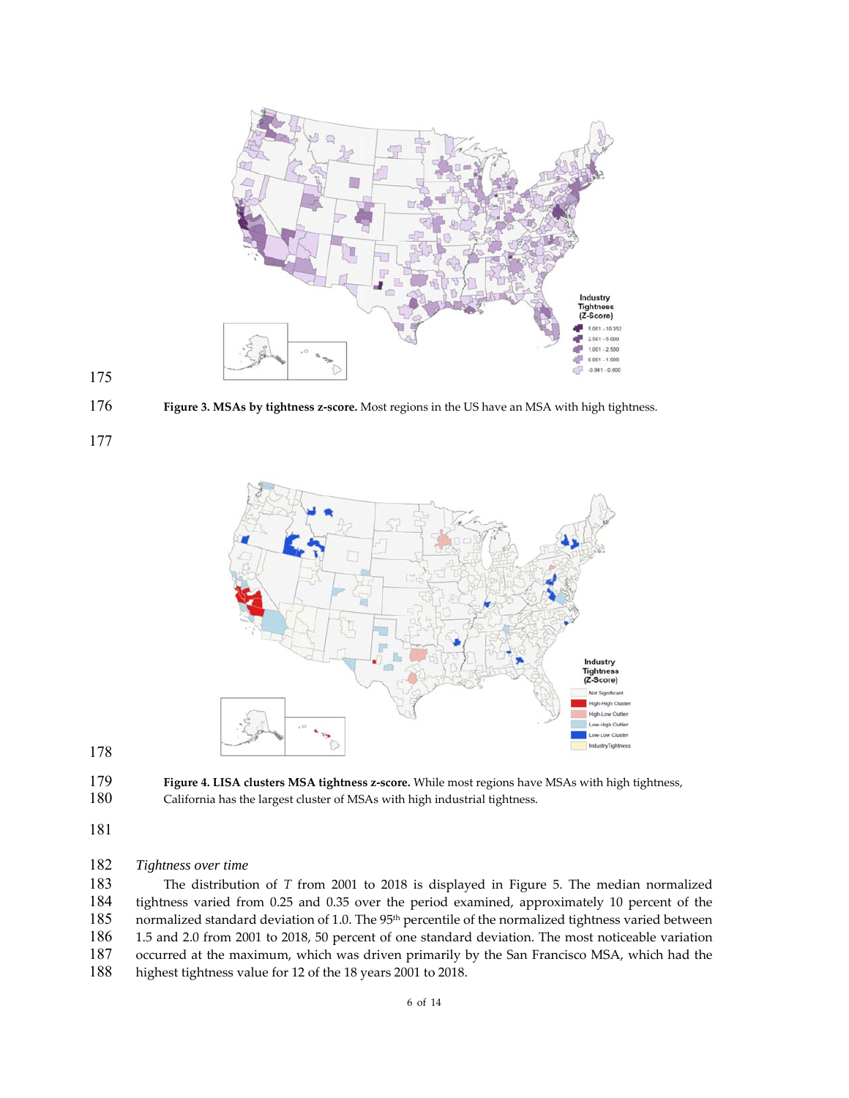

**Figure 3. MSAs by tightness z‐score.** Most regions in the US have an MSA with high tightness.



**Figure 4. LISA clusters MSA tightness z‐score.** While most regions have MSAs with high tightness, California has the largest cluster of MSAs with high industrial tightness.

## *Tightness over time*

The distribution of *T* from 2001 to 2018 is displayed in Figure 5. The median normalized tightness varied from 0.25 and 0.35 over the period examined, approximately 10 percent of the 185 normalized standard deviation of 1.0. The 95<sup>th</sup> percentile of the normalized tightness varied between 1.5 and 2.0 from 2001 to 2018, 50 percent of one standard deviation. The most noticeable variation 187 occurred at the maximum, which was driven primarily by the San Francisco MSA, which had the highest tightness value for 12 of the 18 years 2001 to 2018. highest tightness value for 12 of the 18 years 2001 to 2018.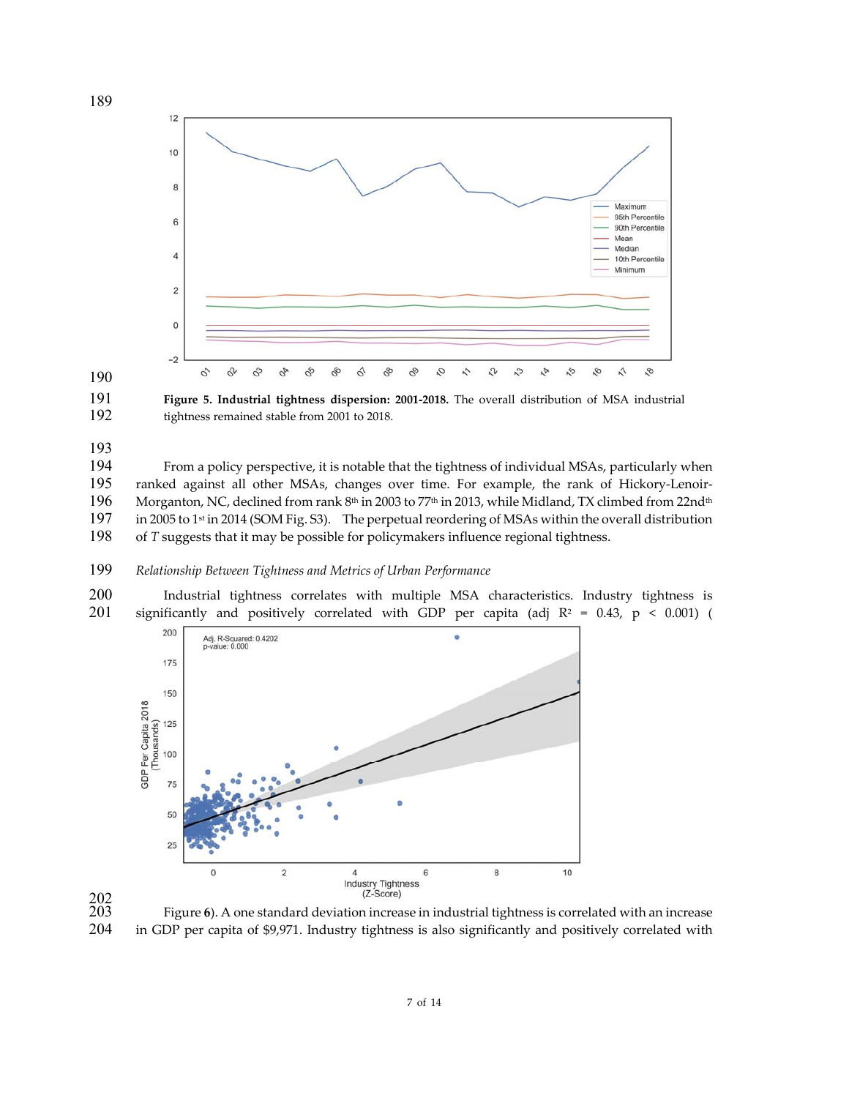



193<br>194

From a policy perspective, it is notable that the tightness of individual MSAs, particularly when 195 ranked against all other MSAs, changes over time. For example, the rank of Hickory-Lenoir-196 Morganton, NC, declined from rank  $8<sup>th</sup>$  in 2003 to 77<sup>th</sup> in 2013, while Midland, TX climbed from 22nd<sup>th</sup> 197 in 2005 to 1<sup>st</sup> in 2014 (SOM Fig. S3). The perpetual reordering of MSAs within the overall distribut in 2005 to <sup>st</sup> in 2014 (SOM Fig. S3). The perpetual reordering of MSAs within the overall distribution of *T* suggests that it may be possible for policymakers influence regional tightness.

## *Relationship Between Tightness and Metrics of Urban Performance*

Industrial tightness correlates with multiple MSA characteristics. Industry tightness is 201 significantly and positively correlated with GDP per capita (adj  $R^2 = 0.43$ ,  $p < 0.001$ ) (



<br> $203$ 

in GDP per capita of \$9,971. Industry tightness is also significantly and positively correlated with

of 14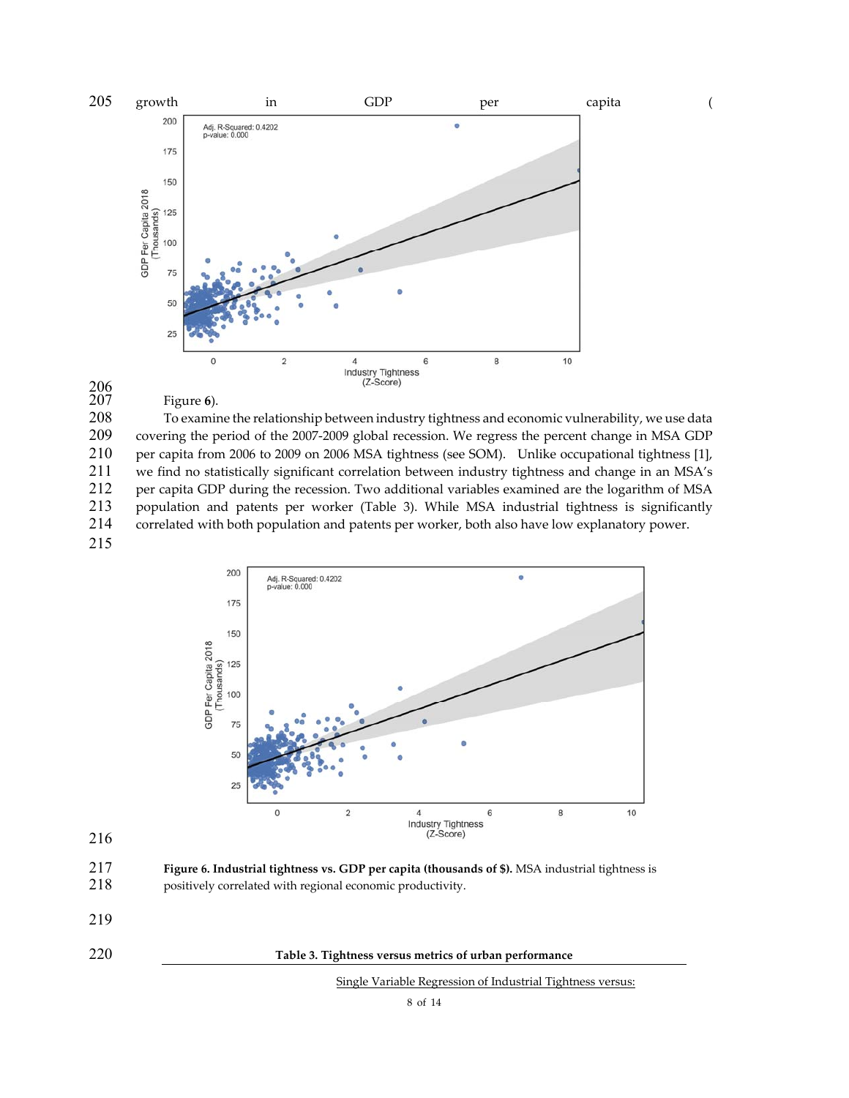

#### Figure 6).

208 To examine the relationship between industry tightness and economic vulnerability, we use data<br>209 covering the period of the 2007-2009 global recession. We regress the percent change in MSA GDP 209 covering the period of the 2007-2009 global recession. We regress the percent change in MSA GDP<br>210 per capita from 2006 to 2009 on 2006 MSA tightness (see SOM). Unlike occupational tightness [1], per capita from 2006 to 2009 on 2006 MSA tightness (see SOM). Unlike occupational tightness [1], 211 we find no statistically significant correlation between industry tightness and change in an MSA's<br>212 per capita GDP during the recession. Two additional variables examined are the logarithm of MSA 212 per capita GDP during the recession. Two additional variables examined are the logarithm of MSA 213 population and patents per worker (Table 3). While MSA industrial tightness is significantly<br>214 correlated with both population and patents per worker, both also have low explanatory power. correlated with both population and patents per worker, both also have low explanatory power.





216

217 **Figure 6. Industrial tightness vs. GDP per capita (thousands of \$).** MSA industrial tightness is 218 positively correlated with regional economic productivity.

- 219
- 

220 **Table 3. Tightness versus metrics of urban performance**

Single Variable Regression of Industrial Tightness versus: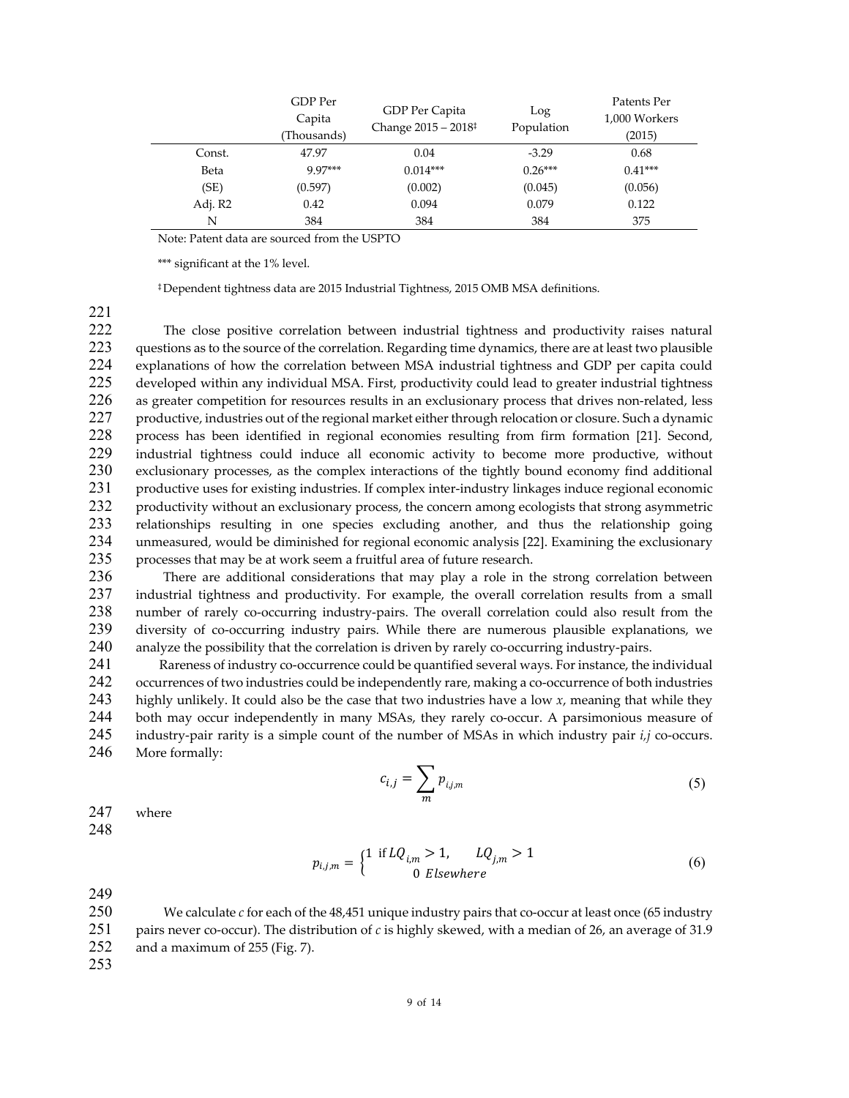|         | GDP Per<br>Capita<br>(Thousands) | GDP Per Capita<br>Change $2015 - 2018$ <sup>‡</sup> | Log<br>Population | Patents Per<br>1,000 Workers<br>(2015) |
|---------|----------------------------------|-----------------------------------------------------|-------------------|----------------------------------------|
| Const.  | 47.97                            | 0.04                                                | $-3.29$           | 0.68                                   |
| Beta    | $9.97***$                        | $0.014***$                                          | $0.26***$         | $0.41***$                              |
| (SE)    | (0.597)                          | (0.002)                                             | (0.045)           | (0.056)                                |
| Adj. R2 | 0.42                             | 0.094                                               | 0.079             | 0.122                                  |
| N       | 384                              | 384                                                 | 384               | 375                                    |

Note: Patent data are sourced from the USPTO

\*\*\* significant at the 1% level.

‡Dependent tightness data are 2015 Industrial Tightness, 2015 OMB MSA definitions.

221

The close positive correlation between industrial tightness and productivity raises natural 223 questions as to the source of the correlation. Regarding time dynamics, there are at least two plausible 224 explanations of how the correlation between MSA industrial tightness and GDP per capita could 225 developed within any individual MSA. First, productivity could lead to greater industrial tightness 226 as greater competition for resources results in an exclusionary process that drives non-related, less 227 productive, industries out of the regional market either through relocation or closure. Such a dynamic 228 process has been identified in regional economies resulting from firm formation [21]. Second,<br>229 industrial tightness could induce all economic activity to become more productive, without industrial tightness could induce all economic activity to become more productive, without 230 exclusionary processes, as the complex interactions of the tightly bound economy find additional<br>231 oroductive uses for existing industries. If complex inter-industry linkages induce regional economic productive uses for existing industries. If complex inter-industry linkages induce regional economic 232 productivity without an exclusionary process, the concern among ecologists that strong asymmetric 233 relationships resulting in one species excluding another, and thus the relationship going 234 unmeasured, would be diminished for regional economic analysis [22]. Examining the exclusionary 235 processes that may be at work seem a fruitful area of future research.

236 There are additional considerations that may play a role in the strong correlation between 237 industrial tightness and productivity. For example, the overall correlation results from a small 238 number of rarely co-occurring industry-pairs. The overall correlation could also result from the<br>239 diversity of co-occurring industry pairs. While there are numerous plausible explanations, we diversity of co-occurring industry pairs. While there are numerous plausible explanations, we 240 analyze the possibility that the correlation is driven by rarely co-occurring industry-pairs.

241 Rareness of industry co-occurrence could be quantified several ways. For instance, the individual 242 occurrences of two industries could be independently rare, making a co-occurrence of both industries 243 highly unlikely. It could also be the case that two industries have a low  $x$ , meaning that while they 244 both may occur independently in many MSAs, they rarely co-occur. A parsimonious measure of both may occur independently in many MSAs, they rarely co-occur. A parsimonious measure of 245 industry-pair rarity is a simple count of the number of MSAs in which industry pair *i,j* co-occurs. 246 More formally:

$$
c_{i,j} = \sum_{m} p_{i,j,m} \tag{5}
$$

247 where

248

$$
p_{i,j,m} = \begin{cases} 1 & \text{if } LQ_{i,m} > 1, \qquad LQ_{j,m} > 1\\ 0 & \text{elsewhere} \end{cases}
$$
 (6)

249

250 We calculate *c* for each of the 48,451 unique industry pairs that co-occur at least once (65 industry 251 pairs never co-occur). The distribution of *c* is highly skewed, with a median of 26, an average of 31.9 252 and a maximum of 255 (Fig. 7).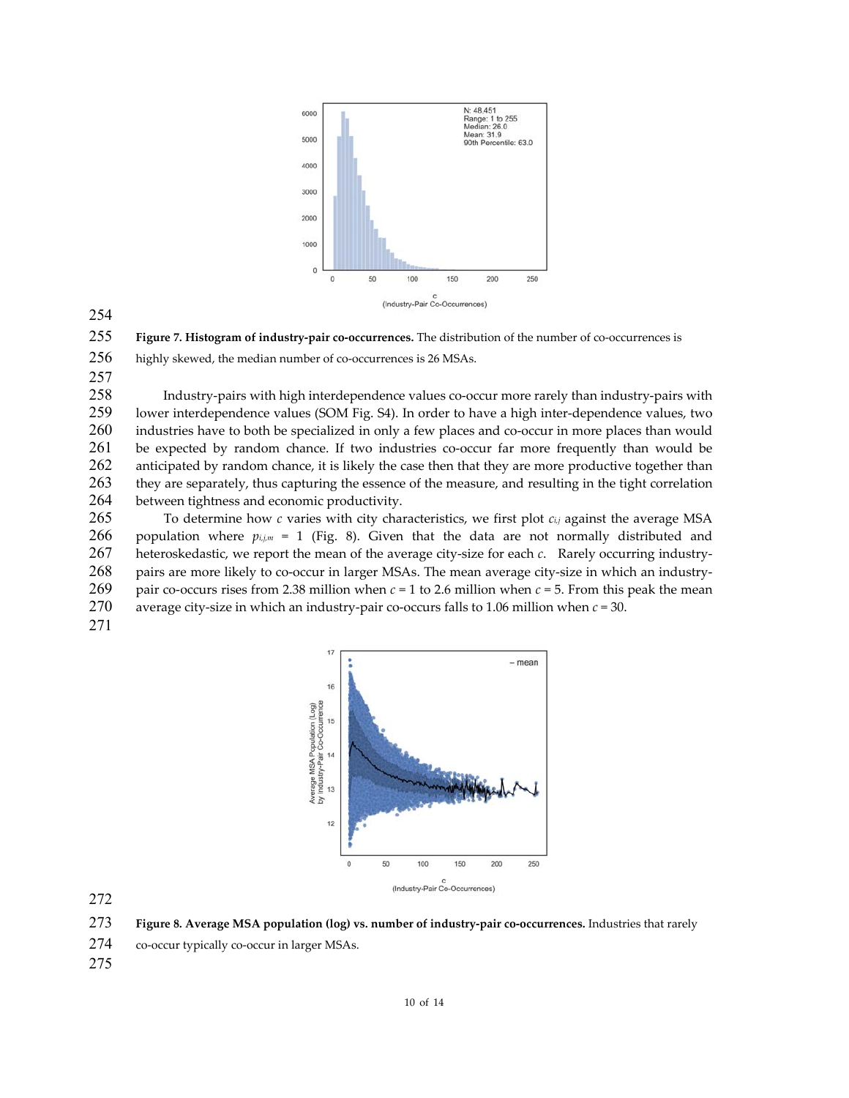

254

255 **Figure 7. Histogram of industry‐pair co‐occurrences.** The distribution of the number of co‐occurrences is

256 highly skewed, the median number of co-occurrences is 26 MSAs.

257

258 Industry-pairs with high interdependence values co-occur more rarely than industry-pairs with<br>259 Iower interdependence values (SOM Fig. S4). In order to have a high inter-dependence values, two lower interdependence values (SOM Fig. S4). In order to have a high inter-dependence values, two 260 industries have to both be specialized in only a few places and co-occur in more places than would 261 be expected by random chance. If two industries co-occur far more frequently than would be 262 anticipated by random chance, it is likely the case then that they are more productive together than<br>263 they are separately, thus capturing the essence of the measure, and resulting in the tight correlation 263 they are separately, thus capturing the essence of the measure, and resulting in the tight correlation 264 between tightness and economic productivity.

265 To determine how *c* varies with city characteristics, we first plot *ci,j* against the average MSA 266 population where  $p_{i,j,m}$  = 1 (Fig. 8). Given that the data are not normally distributed and 267 heteroskedastic, we report the mean of the average city-size for each *c*. Rarely occurring industry-268 pairs are more likely to co-occur in larger MSAs. The mean average city-size in which an industry-269 pair co-occurs rises from 2.38 million when  $c = 1$  to 2.6 million when  $c = 5$ . From this peak the mean 270 average city‐size in which an industry‐pair co‐occurs falls to 1.06 million when *c* = 30.





272

273 **Figure 8. Average MSA population (log) vs. number of industry‐pair co‐occurrences.** Industries that rarely

274 co-occur typically co-occur in larger MSAs.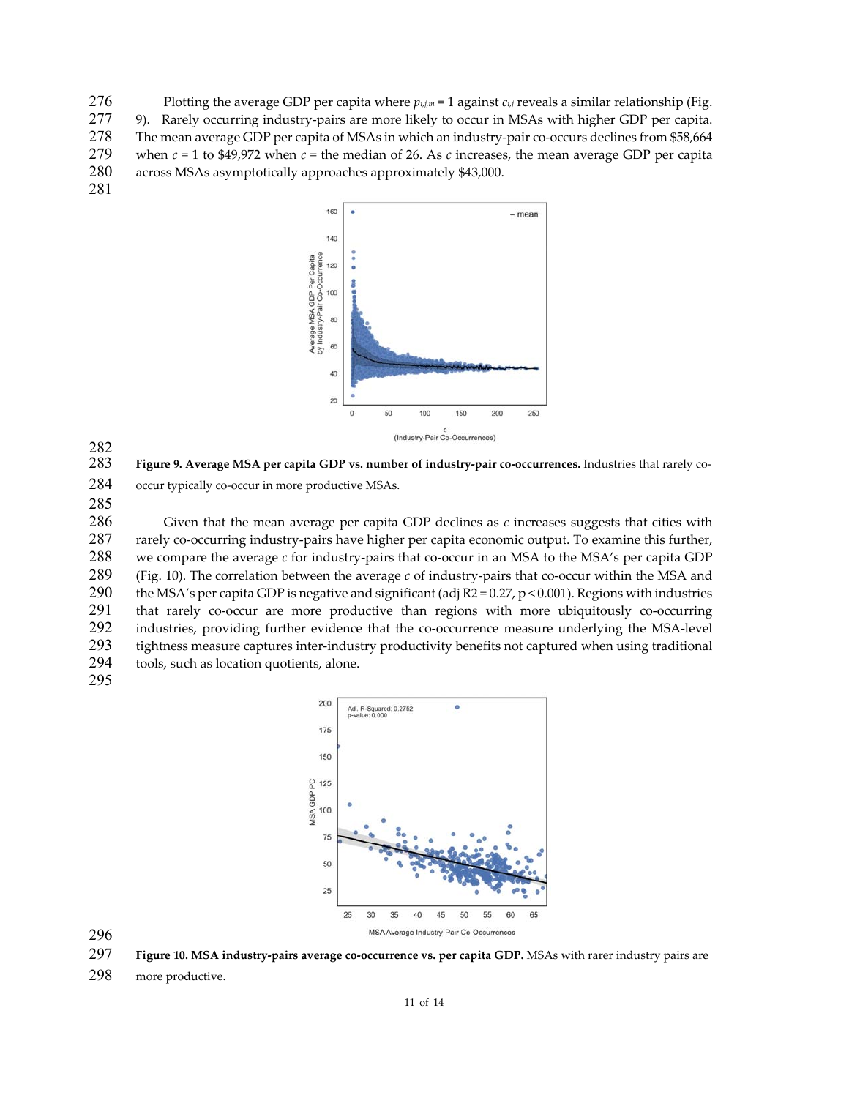276 Plotting the average GDP per capita where  $p_{i,j,m} = 1$  against  $c_{i,j}$  reveals a similar relationship (Fig. 277 9). Rarely occurring industry-pairs are more likely to occur in MSAs with higher GDP per capita. 278 The mean average GDP per capita of MSAs in which an industry-pair co-occurs declines from \$58,664 279 when *c* = 1 to \$49,972 when *c* = the median of 26. As *c* increases, the mean average GDP per capita 280 across MSAs asymptotically approaches approximately \$43,000. 281



282 283 **Figure 9. Average MSA per capita GDP vs. number of industry‐pair co‐occurrences.** Industries that rarely co‐ 284 occur typically co-occur in more productive MSAs. 285

286 Given that the mean average per capita GDP declines as *c* increases suggests that cities with 287 rarely co-occurring industry-pairs have higher per capita economic output. To examine this further, 288 we compare the average *c* for industry-pairs that co-occur in an MSA to the MSA's per capita GDP 289 (Fig. 10). The correlation between the average *c* of industry-pairs that co-occur within the MSA and 290 the MSA's per capita GDP is negative and significant (adi  $R2 = 0.27$ , p < 0.001). Regions with industries the MSA's per capita GDP is negative and significant (adj  $R2 = 0.27$ , p < 0.001). Regions with industries 291 that rarely co-occur are more productive than regions with more ubiquitously co-occurring 292 industries, providing further evidence that the co-occurrence measure underlying the MSA-level 293 tightness measure captures inter-industry productivity benefits not captured when using traditional 294 tools, such as location quotients, alone.

295



296

297 **Figure 10. MSA industry‐pairs average co‐occurrence vs. per capita GDP.** MSAs with rarer industry pairs are

298 more productive.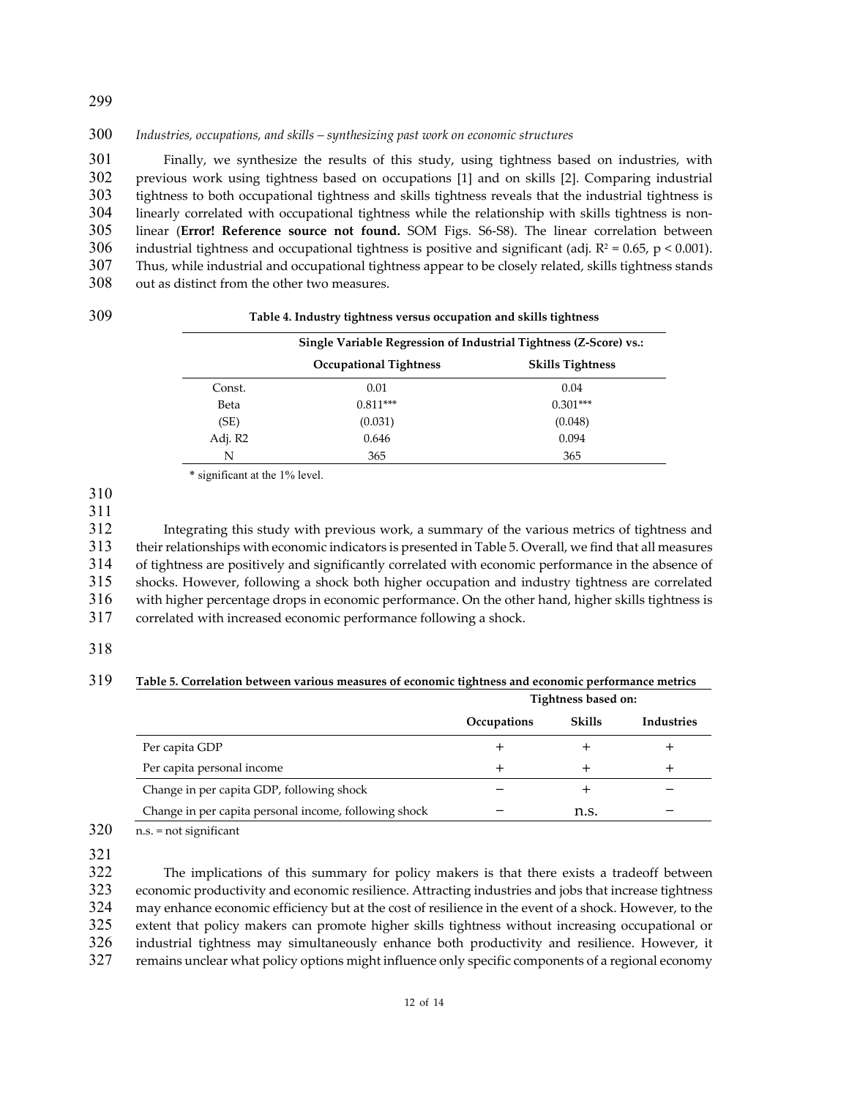300 *Industries, occupations, and skills – synthesizing past work on economic structures*

Finally, we synthesize the results of this study, using tightness based on industries, with previous work using tightness based on occupations [1] and on skills [2]. Comparing industrial tightness to both occupational tightness and skills tightness reveals that the industrial tightness is 304 linearly correlated with occupational tightness while the relationship with skills tightness is non-linear (**Error! Reference source not found.** SOM Figs. S6‐S8). The linear correlation between 306 industrial tightness and occupational tightness is positive and significant (adj.  $R^2 = 0.65$ , p < 0.001). Thus, while industrial and occupational tightness appear to be closely related, skills tightness stands out as distinct from the other two measures.

| ï<br>۰, | I<br>۰.<br>×<br>I |  |
|---------|-------------------|--|

#### 309 **Table 4. Industry tightness versus occupation and skills tightness**

| Single Variable Regression of Industrial Tightness (Z-Score) vs.: |                               |                         |
|-------------------------------------------------------------------|-------------------------------|-------------------------|
|                                                                   | <b>Occupational Tightness</b> | <b>Skills Tightness</b> |
| Const.                                                            | 0.01                          | 0.04                    |
| Beta                                                              | $0.811***$                    | $0.301***$              |
| (SE)                                                              | (0.031)                       | (0.048)                 |
| Adj. R2                                                           | 0.646                         | 0.094                   |
| N                                                                 | 365                           | 365                     |

\* significant at the 1% level.

310

311

Integrating this study with previous work, a summary of the various metrics of tightness and theirrelationships with economic indicators is presented in Table 5. Overall, we find that all measures of tightness are positively and significantly correlated with economic performance in the absence of shocks. However, following a shock both higher occupation and industry tightness are correlated with higher percentage drops in economic performance. On the other hand, higher skills tightness is correlated with increased economic performance following a shock.

## 318

### 319 **Table 5. Correlation between various measures of economic tightness and economic performance metrics**

|                                                       | Tightness based on: |               |                   |
|-------------------------------------------------------|---------------------|---------------|-------------------|
|                                                       | Occupations         | <b>Skills</b> | <b>Industries</b> |
| Per capita GDP                                        |                     |               |                   |
| Per capita personal income                            |                     |               |                   |
| Change in per capita GDP, following shock             |                     |               |                   |
| Change in per capita personal income, following shock |                     | n.s.          |                   |

320 n.s. = not significant

321

The implications of this summary for policy makers is that there exists a tradeoff between economic productivity and economic resilience. Attracting industries and jobs that increase tightness may enhance economic efficiency but at the cost of resilience in the event of a shock. However, to the extent that policy makers can promote higher skills tightness without increasing occupational or industrial tightness may simultaneously enhance both productivity and resilience. However, it remains unclear what policy options might influence only specific components of a regional economy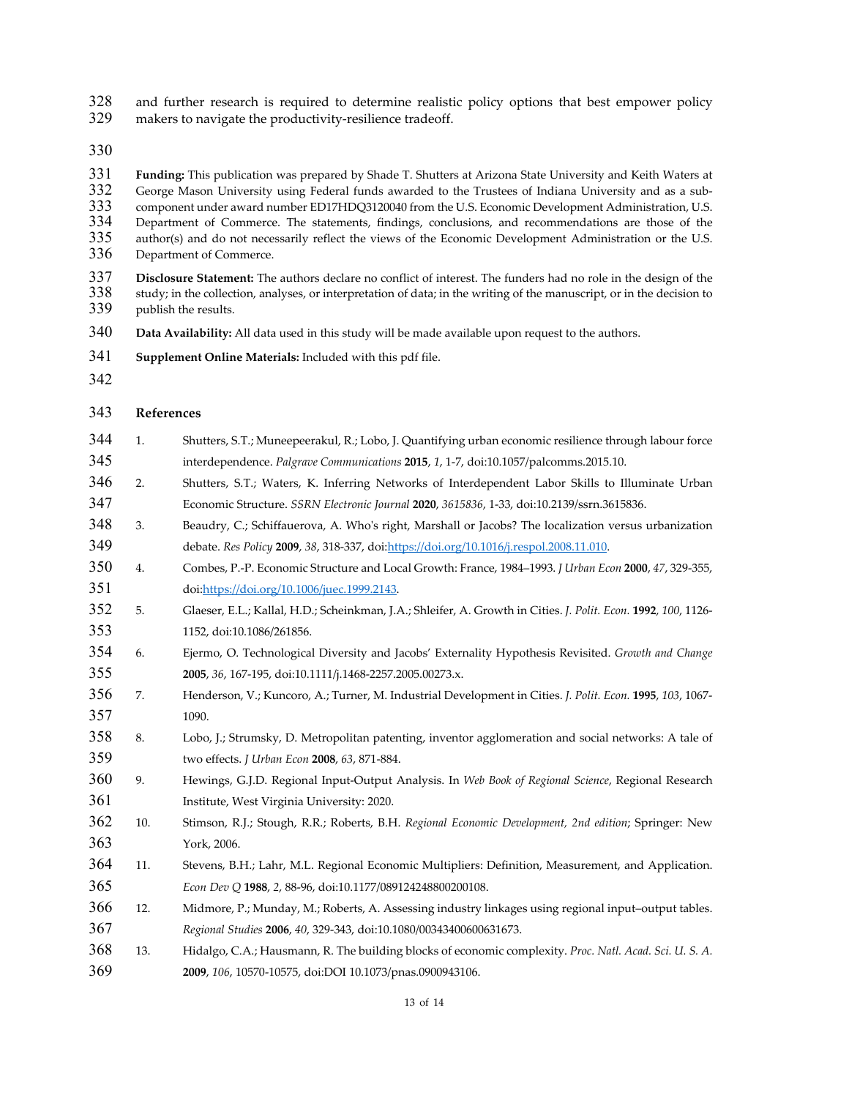and further research is required to determine realistic policy options that best empower policy

329 makers to navigate the productivity-resilience tradeoff.

**Funding:** This publication was prepared by Shade T. Shutters at Arizona State University and Keith Waters at 332 George Mason University using Federal funds awarded to the Trustees of Indiana University and as a sub-<br>333 component under award number ED17HDQ3120040 from the U.S. Economic Development Administration, U.S. component under award number ED17HDQ3120040 from the U.S. Economic Development Administration, U.S. 334 Department of Commerce. The statements, findings, conclusions, and recommendations are those of the 335 author(s) and do not necessarily reflect the views of the Economic Development Administration or the U.S. author(s) and do not necessarily reflect the views of the Economic Development Administration or the U.S. Department of Commerce.

 **Disclosure Statement:** The authors declare no conflict of interest. The funders had no role in the design of the study: in the collection, analyses, or interpretation of data; in the writing of the manuscript, or in study; in the collection, analyses, or interpretation of data; in the writing of the manuscript, or in the decision to publish the results.

- **Data Availability:** All data used in this study will be made available upon request to the authors.
- **Supplement Online Materials:** Included with this pdf file.
- 

### **References**

- 1. Shutters, S.T.; Muneepeerakul, R.; Lobo, J. Quantifying urban economic resilience through labour force interdependence. *Palgrave Communications* **2015**, *1*, 1‐7, doi:10.1057/palcomms.2015.10.
- 2. Shutters, S.T.; Waters, K. Inferring Networks of Interdependent Labor Skills to Illuminate Urban Economic Structure. *SSRN Electronic Journal* **2020**, *3615836*, 1‐33, doi:10.2139/ssrn.3615836.
- 348 3. Beaudry, C.; Schiffauerova, A. Who's right, Marshall or Jacobs? The localization versus urbanization debate. *Res Policy* **2009**, *38*, 318‐337, doi:https://doi.org/10.1016/j.respol.2008.11.010.
- 4. Combes, P.‐P. Economic Structure and Local Growth: France, 1984–1993. *J Urban Econ* **2000**, *47*, 329‐355, doi:https://doi.org/10.1006/juec.1999.2143.
- 5. Glaeser, E.L.; Kallal, H.D.; Scheinkman, J.A.; Shleifer, A. Growth in Cities. *J. Polit. Econ.* **1992**, *100*, 1126‐ 1152, doi:10.1086/261856.
- 6. Ejermo, O. Technological Diversity and Jacobs' Externality Hypothesis Revisited. *Growth and Change* **2005**, *36*, 167‐195, doi:10.1111/j.1468‐2257.2005.00273.x.
- 7. Henderson, V.; Kuncoro, A.; Turner, M. Industrial Development in Cities. *J. Polit. Econ.* **1995**, *103*, 1067‐ 1090.
- 8. Lobo, J.; Strumsky, D. Metropolitan patenting, inventor agglomeration and social networks: A tale of two effects. *J Urban Econ* **2008**, *63*, 871‐884.
- 9. Hewings, G.J.D. Regional Input‐Output Analysis. In *Web Book of Regional Science*, Regional Research Institute, West Virginia University: 2020.
- 10. Stimson, R.J.; Stough, R.R.; Roberts, B.H. *Regional Economic Development, 2nd edition*; Springer: New York, 2006.
- 11. Stevens, B.H.; Lahr, M.L. Regional Economic Multipliers: Definition, Measurement, and Application. *Econ Dev Q* **1988**, *2*, 88‐96, doi:10.1177/089124248800200108.
- 12. Midmore, P.; Munday, M.; Roberts, A. Assessing industry linkages using regional input–output tables. *Regional Studies* **2006**, *40*, 329‐343, doi:10.1080/00343400600631673.
- 13. Hidalgo, C.A.; Hausmann, R. The building blocks of economic complexity. *Proc. Natl. Acad. Sci. U. S. A.* **2009**, *106*, 10570‐10575, doi:DOI 10.1073/pnas.0900943106.